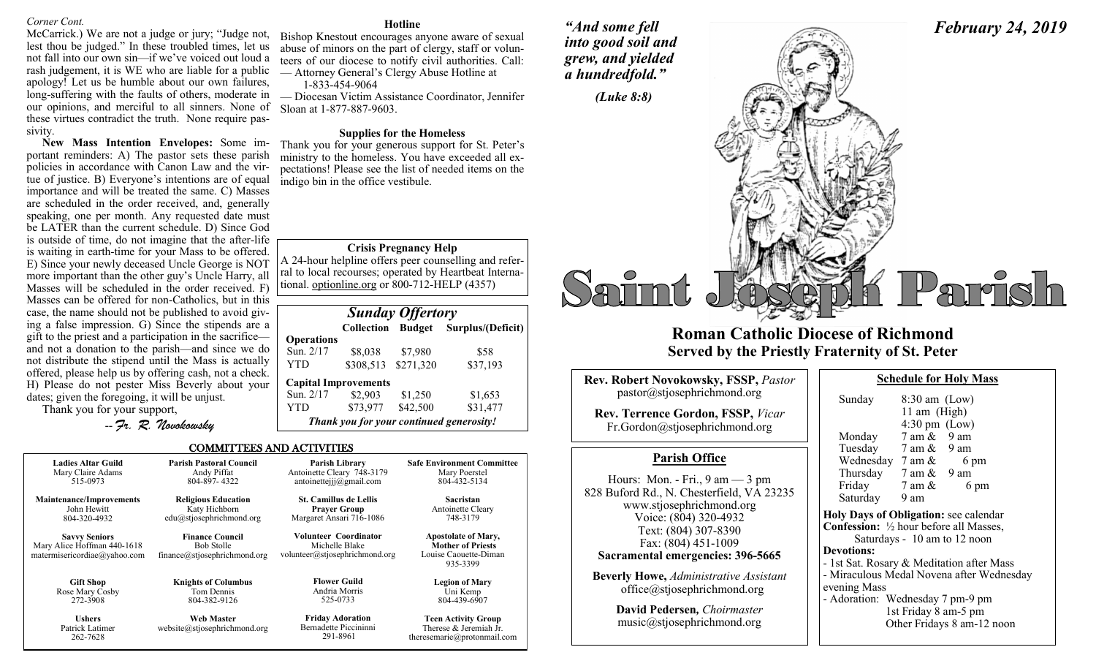# *Corner Cont.*

McCarrick.) We are not a judge or jury; "Judge not, lest thou be judged." In these troubled times, let us not fall into our own sin—if we've voiced out loud a rash judgement, it is WE who are liable for a public apology! Let us be humble about our own failures, long-suffering with the faults of others, moderate in our opinions, and merciful to all sinners. None of these virtues contradict the truth. None require passivity.

**New Mass Intention Envelopes:** Some important reminders: A) The pastor sets these parish policies in accordance with Canon Law and the virtue of justice. B) Everyone's intentions are of equal importance and will be treated the same. C) Masses are scheduled in the order received, and, generally speaking, one per month. Any requested date must be LATER than the current schedule. D) Since God is outside of time, do not imagine that the after-life is waiting in earth-time for your Mass to be offered. E) Since your newly deceased Uncle George is NOT more important than the other guy's Uncle Harry, all Masses will be scheduled in the order received. F) Masses can be offered for non-Catholics, but in this case, the name should not be published to avoid giving a false impression. G) Since the stipends are a gift to the priest and a participation in the sacrifice and not a donation to the parish—and since we do not distribute the stipend until the Mass is actually offered, please help us by offering cash, not a check. H) Please do not pester Miss Beverly about your dates; given the foregoing, it will be unjust.

Thank you for your support,

-- *Fr. R. Novokowsky* 

#### **Hotline**

Bishop Knestout encourages anyone aware of sexual abuse of minors on the part of clergy, staff or volunteers of our diocese to notify civil authorities. Call: — Attorney General's Clergy Abuse Hotline at

1-833-454-9064

— Diocesan Victim Assistance Coordinator, Jennifer Sloan at 1-877-887-9603.

# **Supplies for the Homeless**

Thank you for your generous support for St. Peter's ministry to the homeless. You have exceeded all expectations! Please see the list of needed items on the indigo bin in the office vestibule.

# **Crisis Pregnancy Help**

A 24-hour helpline offers peer counselling and referral to local recourses; operated by Heartbeat International. optionline.org or 800-712-HELP (4357)

| <b>Sunday Offertory</b> |                             |          |                                          |  |
|-------------------------|-----------------------------|----------|------------------------------------------|--|
|                         | Collection                  |          | <b>Budget</b> Surplus/(Deficit)          |  |
| <b>Operations</b>       |                             |          |                                          |  |
| Sun. 2/17               | \$8,038                     | \$7,980  | \$58                                     |  |
| YTD                     | \$308,513 \$271,320         |          | \$37,193                                 |  |
|                         | <b>Capital Improvements</b> |          |                                          |  |
| Sun. 2/17               | \$2,903                     | \$1,250  | \$1,653                                  |  |
| YTD                     | \$73,977                    | \$42,500 | \$31,477                                 |  |
|                         |                             |          | Thank you for your continued generosity! |  |

### COMMITTEES AND ACTIVITIES

| <b>Ladies Altar Guild</b>                                                           | <b>Parish Pastoral Council</b>                                              | Parish Library                                                                   | <b>Safe Environment Committee</b>                                                           |
|-------------------------------------------------------------------------------------|-----------------------------------------------------------------------------|----------------------------------------------------------------------------------|---------------------------------------------------------------------------------------------|
| Mary Claire Adams                                                                   | Andy Piffat                                                                 | Antoinette Cleary 748-3179                                                       | Mary Poerstel                                                                               |
| 515-0973                                                                            | 804-897-4322                                                                | antoinetteijj@gmail.com                                                          | 804-432-5134                                                                                |
| <b>Maintenance/Improvements</b>                                                     | <b>Religious Education</b>                                                  | <b>St. Camillus de Lellis</b>                                                    | <b>Sacristan</b>                                                                            |
| John Hewitt                                                                         | Katy Hichborn                                                               | <b>Prayer Group</b>                                                              | Antoinette Cleary                                                                           |
| 804-320-4932                                                                        | edu@stjosephrichmond.org                                                    | Margaret Ansari 716-1086                                                         | 748-3179                                                                                    |
| <b>Savvy Seniors</b><br>Mary Alice Hoffman 440-1618<br>matermisericordiae@yahoo.com | <b>Finance Council</b><br><b>Bob Stolle</b><br>finance@stjosephrichmond.org | <b>Volunteer Coordinator</b><br>Michelle Blake<br>volunteer@stjosephrichmond.org | <b>Apostolate of Mary,</b><br><b>Mother of Priests</b><br>Louise Caouette-Diman<br>935-3399 |
| <b>Gift Shop</b>                                                                    | <b>Knights of Columbus</b>                                                  | <b>Flower Guild</b>                                                              | <b>Legion of Mary</b>                                                                       |
| Rose Mary Cosby                                                                     | Tom Dennis                                                                  | Andria Morris                                                                    | Uni Kemp                                                                                    |
| 272-3908                                                                            | 804-382-9126                                                                | 525-0733                                                                         | 804-439-6907                                                                                |
| <b>Ushers</b><br>Patrick Latimer<br>262-7628                                        | Web Master<br>website@stjosephrichmond.org                                  | <b>Friday Adoration</b><br>Bernadette Piccininni<br>291-8961                     | <b>Teen Activity Group</b><br>Therese & Jeremiah Jr.<br>theresemarie@protonmail.com         |

*"And some fell into good soil and grew, and yielded a hundredfold."*



# **Roman Catholic Diocese of Richmond Served by the Priestly Fraternity of St. Peter**

| <b>Rev. Robert Novokowsky, FSSP, Pastor</b><br>pastor@stjosephrichmond.org<br><b>Rev. Terrence Gordon, FSSP, Vicar</b><br>Fr.Gordon@stjosephrichmond.org                                                                                | Sun<br>Moi<br>Tue                                                             |
|-----------------------------------------------------------------------------------------------------------------------------------------------------------------------------------------------------------------------------------------|-------------------------------------------------------------------------------|
| <b>Parish Office</b>                                                                                                                                                                                                                    | We                                                                            |
| Hours: Mon. - Fri., $9 \text{ am} - 3 \text{ pm}$<br>828 Buford Rd., N. Chesterfield, VA 23235<br>www.stjosephrichmond.org<br>Voice: (804) 320-4932<br>Text: (804) 307-8390<br>Fax: (804) 451-1009<br>Sacramental emergencies: 396-5665 | Thu<br>Fric<br>Satı<br><b>Holy</b> D<br>Confes<br><b>Devotion</b><br>- 1st Sa |
| <b>Beverly Howe, Administrative Assistant</b><br>office@stjosephrichmond.org                                                                                                                                                            | - Mirac<br>evening<br>$\sim$ 1.                                               |

**David Pedersen***, Choirmaster* music@stjosephrichmond.org

| Sunday                                                   | $8:30$ am (Low)                 |                                           |
|----------------------------------------------------------|---------------------------------|-------------------------------------------|
|                                                          | 11 am (High)                    |                                           |
|                                                          | $4:30 \text{ pm}$ (Low)         |                                           |
| Monday                                                   | $7 \text{ am } \& 9 \text{ am}$ |                                           |
| Tuesday 7 am & 9 am                                      |                                 |                                           |
| Wednesday $7 \text{ am } \&$                             |                                 | 6 pm                                      |
| Thursday $7 \text{ am } \& 9 \text{ am}$                 |                                 |                                           |
| Friday                                                   | 7 am &                          | 6 pm                                      |
| Saturday                                                 | 9 am                            |                                           |
| <b>Holy Days of Obligation: see calendar</b>             |                                 |                                           |
| <b>Confession:</b> $\frac{1}{2}$ hour before all Masses, |                                 |                                           |
|                                                          |                                 | Saturdays - 10 am to 12 noon              |
| <b>Devotions:</b>                                        |                                 |                                           |
| - 1st Sat. Rosary & Meditation after Mass                |                                 |                                           |
|                                                          |                                 | - Miraculous Medal Novena after Wednesday |
| evening Mass                                             |                                 |                                           |
| - Adoration: Wednesday 7 pm-9 pm                         |                                 |                                           |

**Schedule for Holy Mass** 

*February 24, 2019*

1st Friday 8 am-5 pm Other Fridays 8 am-12 noon